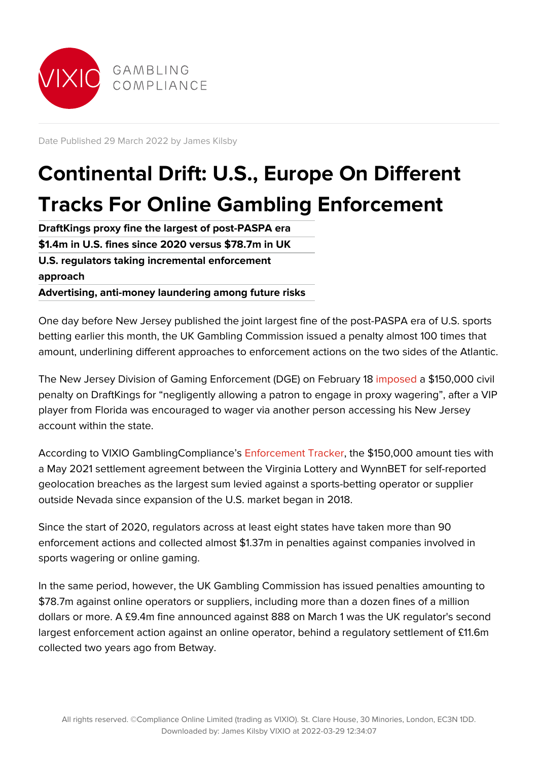

Date Published 29 March 2022 by James Kilsby

# **Continental Drift: U.S., Europe On Different Tracks For Online Gambling Enforcement**

**DraftKings proxy fine the largest of post-PASPA era \$1.4m in U.S. fines since 2020 versus \$78.7m in UK U.S. regulators taking incremental enforcement approach Advertising, anti-money laundering among future risks**

One day before New Jersey published the joint largest fine of the post-PASPA era of U.S. sports betting earlier this month, the UK Gambling Commission issued a penalty almost 100 times that amount, underlining different approaches to enforcement actions on the two sides of the Atlantic.

The New Jersey Division of Gaming Enforcement (DGE) on February 18 [imposed](https://gc.vixio.com/regulatory-update/new-jersey-imposes-150000-fine-draftkings-proxy-wagering-violations) a \$150,000 civil penalty on DraftKings for "negligently allowing a patron to engage in proxy wagering", after a VIP player from Florida was encouraged to wager via another person accessing his New Jersey account within the state.

According to VIXIO GamblingCompliance's [Enforcement Tracker,](https://gc.vixio.com/tracker/enforcement-tracker) the \$150,000 amount ties with a May 2021 settlement agreement between the Virginia Lottery and WynnBET for self-reported geolocation breaches as the largest sum levied against a sports-betting operator or supplier outside Nevada since expansion of the U.S. market began in 2018.

Since the start of 2020, regulators across at least eight states have taken more than 90 enforcement actions and collected almost \$1.37m in penalties against companies involved in sports wagering or online gaming.

In the same period, however, the UK Gambling Commission has issued penalties amounting to \$78.7m against online operators or suppliers, including more than a dozen fines of a million dollars or more. A £9.4m fine announced against 888 on March 1 was the UK regulator's second largest enforcement action against an online operator, behind a regulatory settlement of £11.6m collected two years ago from Betway.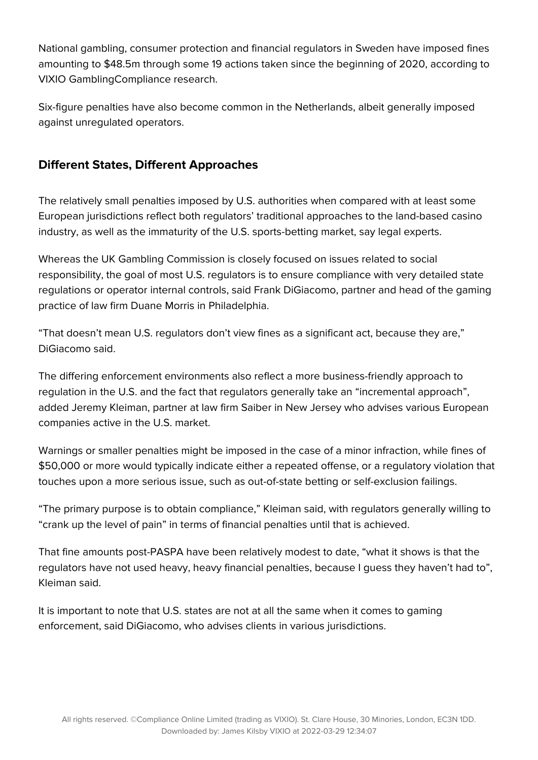National gambling, consumer protection and financial regulators in Sweden have imposed fines amounting to \$48.5m through some 19 actions taken since the beginning of 2020, according to VIXIO GamblingCompliance research.

Six-figure penalties have also become common in the Netherlands, albeit generally imposed against unregulated operators.

## **Different States, Different Approaches**

The relatively small penalties imposed by U.S. authorities when compared with at least some European jurisdictions reflect both regulators' traditional approaches to the land-based casino industry, as well as the immaturity of the U.S. sports-betting market, say legal experts.

Whereas the UK Gambling Commission is closely focused on issues related to social responsibility, the goal of most U.S. regulators is to ensure compliance with very detailed state regulations or operator internal controls, said Frank DiGiacomo, partner and head of the gaming practice of law firm Duane Morris in Philadelphia.

"That doesn't mean U.S. regulators don't view fines as a significant act, because they are," DiGiacomo said.

The differing enforcement environments also reflect a more business-friendly approach to regulation in the U.S. and the fact that regulators generally take an "incremental approach", added Jeremy Kleiman, partner at law firm Saiber in New Jersey who advises various European companies active in the U.S. market.

Warnings or smaller penalties might be imposed in the case of a minor infraction, while fines of \$50,000 or more would typically indicate either a repeated offense, or a regulatory violation that touches upon a more serious issue, such as out-of-state betting or self-exclusion failings.

"The primary purpose is to obtain compliance," Kleiman said, with regulators generally willing to "crank up the level of pain" in terms of financial penalties until that is achieved.

That fine amounts post-PASPA have been relatively modest to date, "what it shows is that the regulators have not used heavy, heavy financial penalties, because I guess they haven't had to", Kleiman said.

It is important to note that U.S. states are not at all the same when it comes to gaming enforcement, said DiGiacomo, who advises clients in various jurisdictions.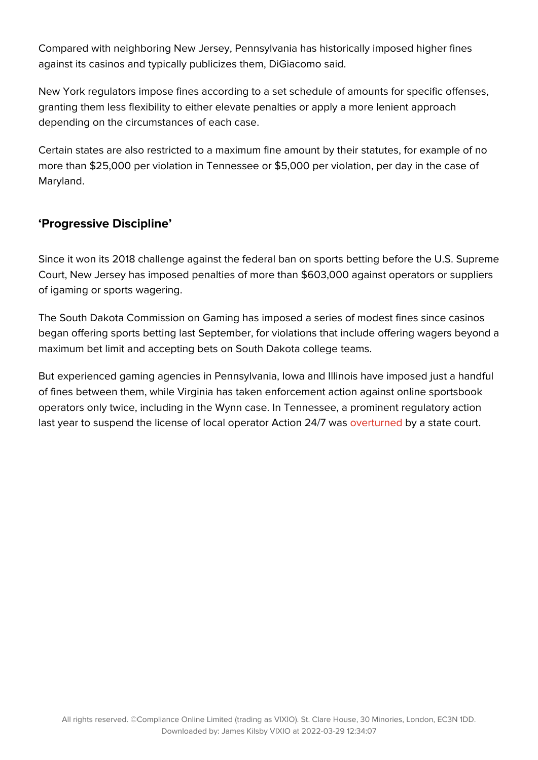Compared with neighboring New Jersey, Pennsylvania has historically imposed higher fines against its casinos and typically publicizes them, DiGiacomo said.

New York regulators impose fines according to a set schedule of amounts for specific offenses, granting them less flexibility to either elevate penalties or apply a more lenient approach depending on the circumstances of each case.

Certain states are also restricted to a maximum fine amount by their statutes, for example of no more than \$25,000 per violation in Tennessee or \$5,000 per violation, per day in the case of Maryland.

## **'Progressive Discipline'**

Since it won its 2018 challenge against the federal ban on sports betting before the U.S. Supreme Court, New Jersey has imposed penalties of more than \$603,000 against operators or suppliers of igaming or sports wagering.

The South Dakota Commission on Gaming has imposed a series of modest fines since casinos began offering sports betting last September, for violations that include offering wagers beyond a maximum bet limit and accepting bets on South Dakota college teams.

But experienced gaming agencies in Pennsylvania, Iowa and Illinois have imposed just a handful of fines between them, while Virginia has taken enforcement action against online sportsbook operators only twice, including in the Wynn case. In Tennessee, a prominent regulatory action last year to suspend the license of local operator Action 24/7 was [overturned](https://gc.vixio.com/insights-analysis/tennessee-judge-reinstates-action-247s-sports-betting-license) by a state court.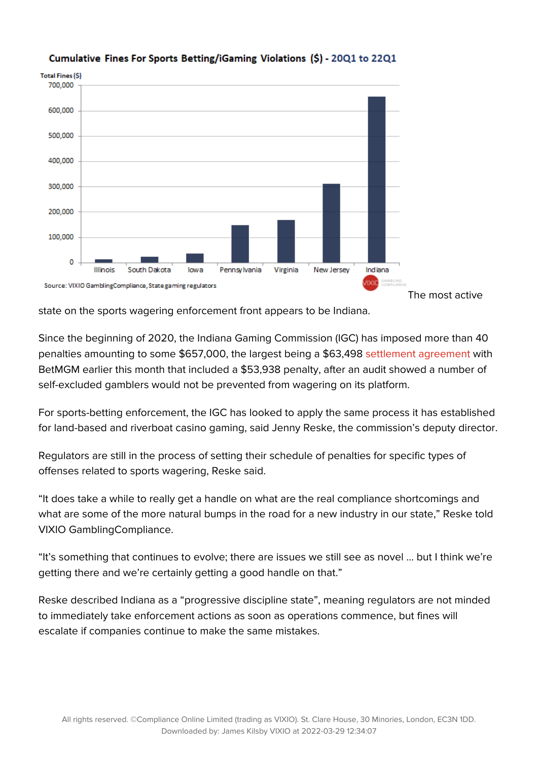

#### Cumulative Fines For Sports Betting/iGaming Violations (\$) - 2001 to 2201

state on the sports wagering enforcement front appears to be Indiana.

Since the beginning of 2020, the Indiana Gaming Commission (IGC) has imposed more than 40 penalties amounting to some \$657,000, the largest being a \$63,498 [settlement agreement](https://www.in.gov/igc/files/Order-2022-44.pdf) with BetMGM earlier this month that included a \$53,938 penalty, after an audit showed a number of self-excluded gamblers would not be prevented from wagering on its platform.

For sports-betting enforcement, the IGC has looked to apply the same process it has established for land-based and riverboat casino gaming, said Jenny Reske, the commission's deputy director.

Regulators are still in the process of setting their schedule of penalties for specific types of offenses related to sports wagering, Reske said.

"It does take a while to really get a handle on what are the real compliance shortcomings and what are some of the more natural bumps in the road for a new industry in our state," Reske told VIXIO GamblingCompliance.

"It's something that continues to evolve; there are issues we still see as novel … but I think we're getting there and we're certainly getting a good handle on that."

Reske described Indiana as a "progressive discipline state", meaning regulators are not minded to immediately take enforcement actions as soon as operations commence, but fines will escalate if companies continue to make the same mistakes.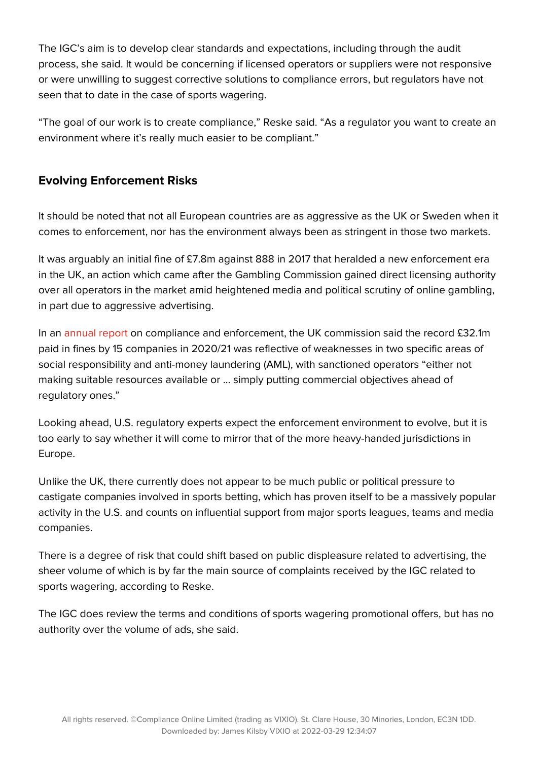The IGC's aim is to develop clear standards and expectations, including through the audit process, she said. It would be concerning if licensed operators or suppliers were not responsive or were unwilling to suggest corrective solutions to compliance errors, but regulators have not seen that to date in the case of sports wagering.

"The goal of our work is to create compliance," Reske said. "As a regulator you want to create an environment where it's really much easier to be compliant."

## **Evolving Enforcement Risks**

It should be noted that not all European countries are as aggressive as the UK or Sweden when it comes to enforcement, nor has the environment always been as stringent in those two markets.

It was arguably an initial fine of £7.8m against 888 in 2017 that heralded a new enforcement era in the UK, an action which came after the Gambling Commission gained direct licensing authority over all operators in the market amid heightened media and political scrutiny of online gambling, in part due to aggressive advertising.

In an [annual report](https://www.gamblingcommission.gov.uk/report/raising-standards-for-consumers-compliance-and-enforcement-report-2020-to) on compliance and enforcement, the UK commission said the record £32.1m paid in fines by 15 companies in 2020/21 was reflective of weaknesses in two specific areas of social responsibility and anti-money laundering (AML), with sanctioned operators "either not making suitable resources available or … simply putting commercial objectives ahead of regulatory ones."

Looking ahead, U.S. regulatory experts expect the enforcement environment to evolve, but it is too early to say whether it will come to mirror that of the more heavy-handed jurisdictions in Europe.

Unlike the UK, there currently does not appear to be much public or political pressure to castigate companies involved in sports betting, which has proven itself to be a massively popular activity in the U.S. and counts on influential support from major sports leagues, teams and media companies.

There is a degree of risk that could shift based on public displeasure related to advertising, the sheer volume of which is by far the main source of complaints received by the IGC related to sports wagering, according to Reske.

The IGC does review the terms and conditions of sports wagering promotional offers, but has no authority over the volume of ads, she said.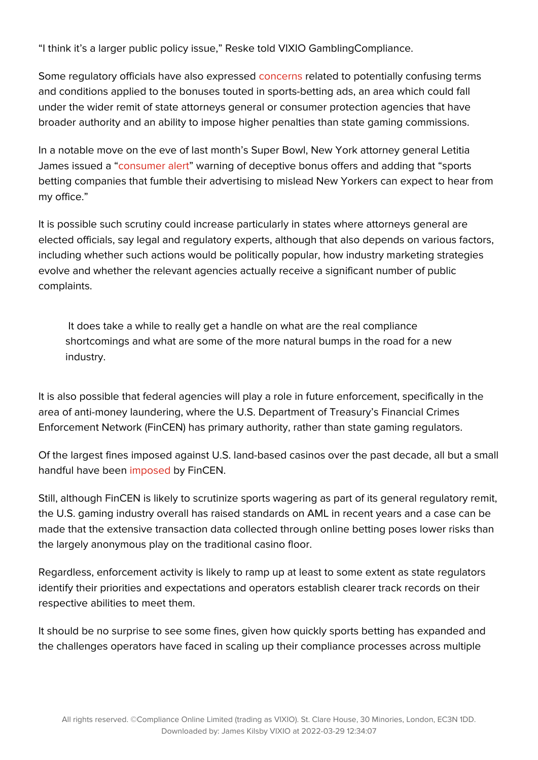"I think it's a larger public policy issue," Reske told VIXIO GamblingCompliance.

Some regulatory officials have also expressed [concerns](https://gc.vixio.com/insights-analysis/new-jersey-revisiting-online-gambling-rules-amid-ad-standards-slippage%C2%A0) related to potentially confusing terms and conditions applied to the bonuses touted in sports-betting ads, an area which could fall under the wider remit of state attorneys general or consumer protection agencies that have broader authority and an ability to impose higher penalties than state gaming commissions.

In a notable move on the eve of last month's Super Bowl, New York attorney general Letitia James issued a "[consumer alert](https://gc.vixio.com/insights-analysis/new-york-attorney-general-warns-deceptive-sports-betting-advertising-practices)" warning of deceptive bonus offers and adding that "sports betting companies that fumble their advertising to mislead New Yorkers can expect to hear from my office."

It is possible such scrutiny could increase particularly in states where attorneys general are elected officials, say legal and regulatory experts, although that also depends on various factors, including whether such actions would be politically popular, how industry marketing strategies evolve and whether the relevant agencies actually receive a significant number of public complaints.

 It does take a while to really get a handle on what are the real compliance shortcomings and what are some of the more natural bumps in the road for a new industry.

It is also possible that federal agencies will play a role in future enforcement, specifically in the area of anti-money laundering, where the U.S. Department of Treasury's Financial Crimes Enforcement Network (FinCEN) has primary authority, rather than state gaming regulators.

Of the largest fines imposed against U.S. land-based casinos over the past decade, all but a small handful have been [imposed](https://gc.vixio.com/research-reports/us-aml-enforcement-cases-against-casinos) by FinCEN.

Still, although FinCEN is likely to scrutinize sports wagering as part of its general regulatory remit, the U.S. gaming industry overall has raised standards on AML in recent years and a case can be made that the extensive transaction data collected through online betting poses lower risks than the largely anonymous play on the traditional casino floor.

Regardless, enforcement activity is likely to ramp up at least to some extent as state regulators identify their priorities and expectations and operators establish clearer track records on their respective abilities to meet them.

It should be no surprise to see some fines, given how quickly sports betting has expanded and the challenges operators have faced in scaling up their compliance processes across multiple